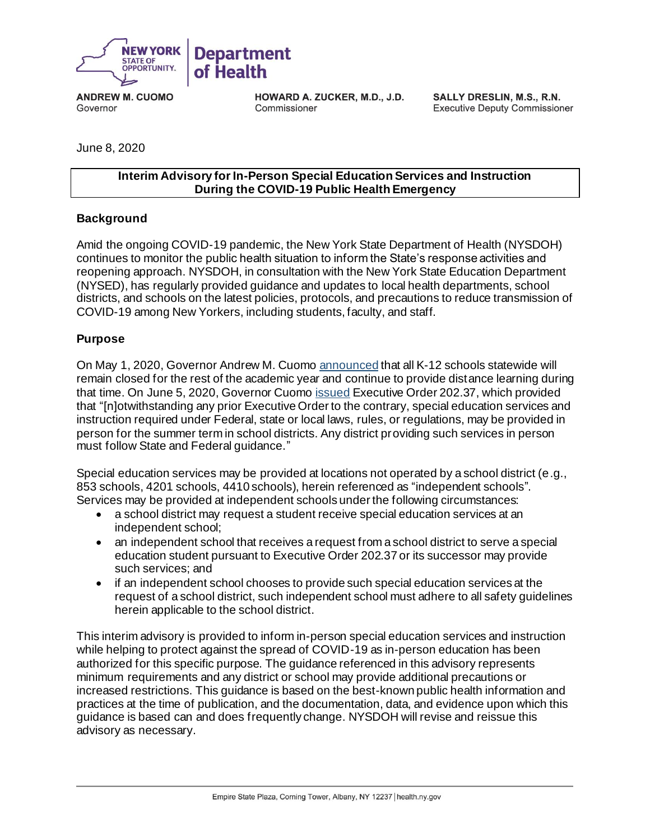

**ANDREW M. CUOMO** Governor

**HOWARD A. ZUCKER, M.D., J.D.** Commissioner

SALLY DRESLIN, M.S., R.N. **Executive Deputy Commissioner** 

June 8, 2020

#### **Interim Advisory for In-Person Special Education Services and Instruction During the COVID-19 Public Health Emergency**

### **Background**

Amid the ongoing COVID-19 pandemic, the New York State Department of Health (NYSDOH) continues to monitor the public health situation to inform the State's response activities and reopening approach. NYSDOH, in consultation with the New York State Education Department (NYSED), has regularly provided guidance and updates to local health departments, school districts, and schools on the latest policies, protocols, and precautions to reduce transmission of COVID-19 among New Yorkers, including students, faculty, and staff.

### **Purpose**

On May 1, 2020, Governor Andrew M. Cuom[o announced](https://www.governor.ny.gov/news/amid-ongoing-covid-19-pandemic-governor-cuomo-announces-schools-and-college-facilities) that all K-12 schools statewide will remain closed for the rest of the academic year and continue to provide distance learning during that time. On June 5, 2020, Governor Cuom[o issued](https://www.governor.ny.gov/news/no-20237-continuing-temporary-suspension-and-modification-laws-relating-disaster-emergency-0) Executive Order 202.37, which provided that "[n]otwithstanding any prior Executive Order to the contrary, special education services and instruction required under Federal, state or local laws, rules, or regulations, may be provided in person for the summer term in school districts. Any district providing such services in person must follow State and Federal guidance."

Special education services may be provided at locations not operated by a school district (e.g., 853 schools, 4201 schools, 4410 schools), herein referenced as "independent schools". Services may be provided at independent schools under the following circumstances:

- a school district may request a student receive special education services at an independent school;
- an independent school that receives a request from a school district to serve a special education student pursuant to Executive Order 202.37 or its successor may provide such services; and
- if an independent school chooses to provide such special education services at the request of a school district, such independent school must adhere to all safety guidelines herein applicable to the school district.

This interim advisory is provided to inform in-person special education services and instruction while helping to protect against the spread of COVID-19 as in-person education has been authorized for this specific purpose. The guidance referenced in this advisory represents minimum requirements and any district or school may provide additional precautions or increased restrictions. This guidance is based on the best-known public health information and practices at the time of publication, and the documentation, data, and evidence upon which this guidance is based can and does frequently change. NYSDOH will revise and reissue this advisory as necessary.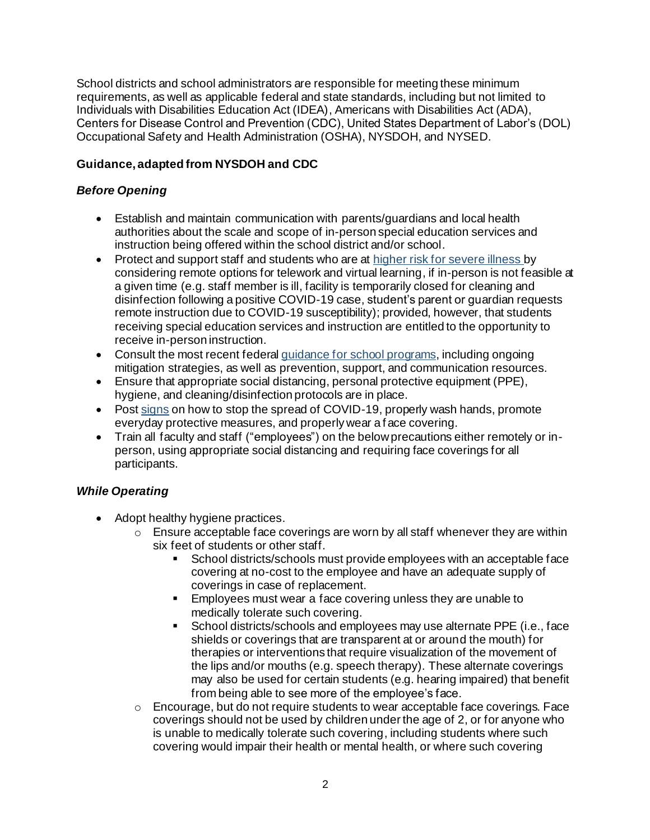School districts and school administrators are responsible for meeting these minimum requirements, as well as applicable federal and state standards, including but not limited to Individuals with Disabilities Education Act (IDEA), Americans with Disabilities Act (ADA), Centers for Disease Control and Prevention (CDC), United States Department of Labor's (DOL) Occupational Safety and Health Administration (OSHA), NYSDOH, and NYSED.

## **Guidance, adapted from NYSDOH and CDC**

### *Before Opening*

- Establish and maintain communication with parents/guardians and local health authorities about the scale and scope of in-person special education services and instruction being offered within the school district and/or school.
- Protect and support staff and students who are at [higher risk for severe illness](https://www.cdc.gov/coronavirus/2019-ncov/specific-groups/people-at-higher-risk.html) by considering remote options for telework and virtual learning, if in-person is not feasible at a given time (e.g. staff member is ill, facility is temporarily closed for cleaning and disinfection following a positive COVID-19 case, student's parent or guardian requests remote instruction due to COVID-19 susceptibility); provided, however, that students receiving special education services and instruction are entitled to the opportunity to receive in-person instruction.
- Consult the most recent federa[l guidance for school programs,](https://www.cdc.gov/coronavirus/2019-ncov/community/schools-childcare/index.html) including ongoing mitigation strategies, as well as prevention, support, and communication resources.
- Ensure that appropriate social distancing, personal protective equipment (PPE), hygiene, and cleaning/disinfection protocols are in place.
- Post [signs](https://coronavirus.health.ny.gov/system/files/documents/2020/04/13067_coronavirus_protectyourself_poster_042020.pdf) on how to stop the spread of COVID-19, properly wash hands, promote everyday protective measures, and properly wear a f ace covering.
- Train all faculty and staff ("employees") on the below precautions either remotely or inperson, using appropriate social distancing and requiring face coverings for all participants.

# *While Operating*

- Adopt healthy hygiene practices.
	- $\circ$  Ensure acceptable face coverings are worn by all staff whenever they are within six feet of students or other staff.
		- School districts/schools must provide employees with an acceptable face covering at no-cost to the employee and have an adequate supply of coverings in case of replacement.
		- Employees must wear a face covering unless they are unable to medically tolerate such covering.
		- School districts/schools and employees may use alternate PPE (i.e., face shields or coverings that are transparent at or around the mouth) for therapies or interventions that require visualization of the movement of the lips and/or mouths (e.g. speech therapy). These alternate coverings may also be used for certain students (e.g. hearing impaired) that benefit from being able to see more of the employee's face.
	- $\circ$  Encourage, but do not require students to wear acceptable face coverings. Face coverings should not be used by children under the age of 2, or for anyone who is unable to medically tolerate such covering, including students where such covering would impair their health or mental health, or where such covering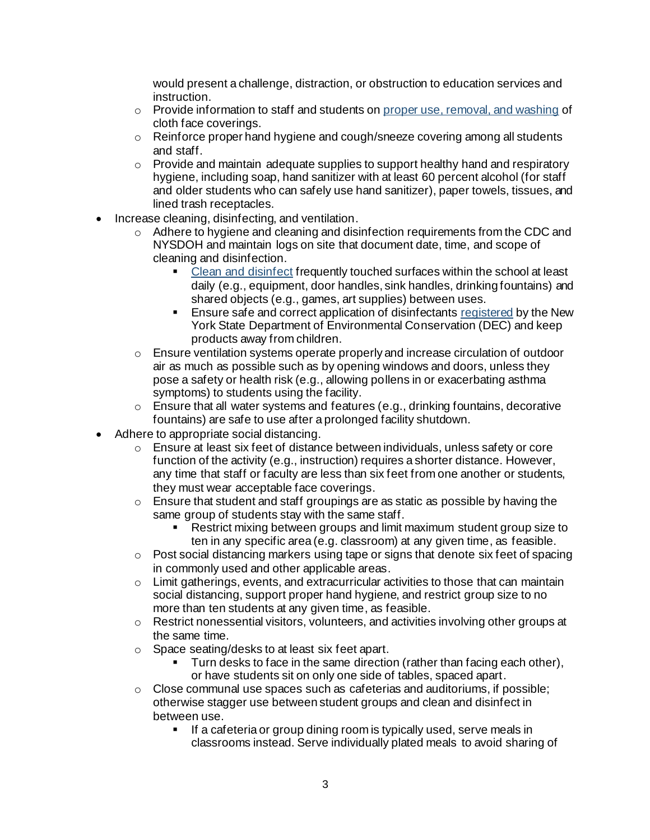would present a challenge, distraction, or obstruction to education services and instruction.

- $\circ$  Provide information to staff and students o[n proper use, removal, and washing](https://www.cdc.gov/coronavirus/2019-ncov/prevent-getting-sick/diy-cloth-face-coverings.html) of cloth face coverings.
- $\circ$  Reinforce proper hand hygiene and cough/sneeze covering among all students and staff.
- o Provide and maintain adequate supplies to support healthy hand and respiratory hygiene, including soap, hand sanitizer with at least 60 percent alcohol (for staff and older students who can safely use hand sanitizer), paper towels, tissues, and lined trash receptacles.
- Increase cleaning, disinfecting, and ventilation.
	- o Adhere to hygiene and cleaning and disinfection requirements from the CDC and NYSDOH and maintain logs on site that document date, time, and scope of cleaning and disinfection.
		- [Clean and disinfect](https://coronavirus.health.ny.gov/system/files/documents/2020/03/cleaning_guidance_schools.pdf) frequently touched surfaces within the school at least daily (e.g., equipment, door handles, sink handles, drinking fountains) and shared objects (e.g., games, art supplies) between uses.
		- **Ensure safe and correct application of disinfectant[s registered](https://www.dec.ny.gov/docs/materials_minerals_pdf/covid19.pdf) by the New** York State Department of Environmental Conservation (DEC) and keep products away from children.
	- $\circ$  Ensure ventilation systems operate properly and increase circulation of outdoor air as much as possible such as by opening windows and doors, unless they pose a safety or health risk (e.g., allowing pollens in or exacerbating asthma symptoms) to students using the facility.
	- o Ensure that all water systems and features (e.g., drinking fountains, decorative fountains) are safe to use after a prolonged facility shutdown.
- Adhere to appropriate social distancing.
	- $\circ$  Ensure at least six feet of distance between individuals, unless safety or core function of the activity (e.g., instruction) requires a shorter distance. However, any time that staff or faculty are less than six feet from one another or students, they must wear acceptable face coverings.
	- $\circ$  Ensure that student and staff groupings are as static as possible by having the same group of students stay with the same staff.
		- Restrict mixing between groups and limit maximum student group size to ten in any specific area (e.g. classroom) at any given time, as feasible.
	- $\circ$  Post social distancing markers using tape or signs that denote six feet of spacing in commonly used and other applicable areas.
	- $\circ$  Limit gatherings, events, and extracurricular activities to those that can maintain social distancing, support proper hand hygiene, and restrict group size to no more than ten students at any given time, as feasible.
	- $\circ$  Restrict nonessential visitors, volunteers, and activities involving other groups at the same time.
	- o Space seating/desks to at least six feet apart.
		- Turn desks to face in the same direction (rather than facing each other), or have students sit on only one side of tables, spaced apart.
	- o Close communal use spaces such as cafeterias and auditoriums, if possible; otherwise stagger use between student groups and clean and disinfect in between use.
		- **EXTE:** If a cafeteria or group dining room is typically used, serve meals in classrooms instead. Serve individually plated meals to avoid sharing of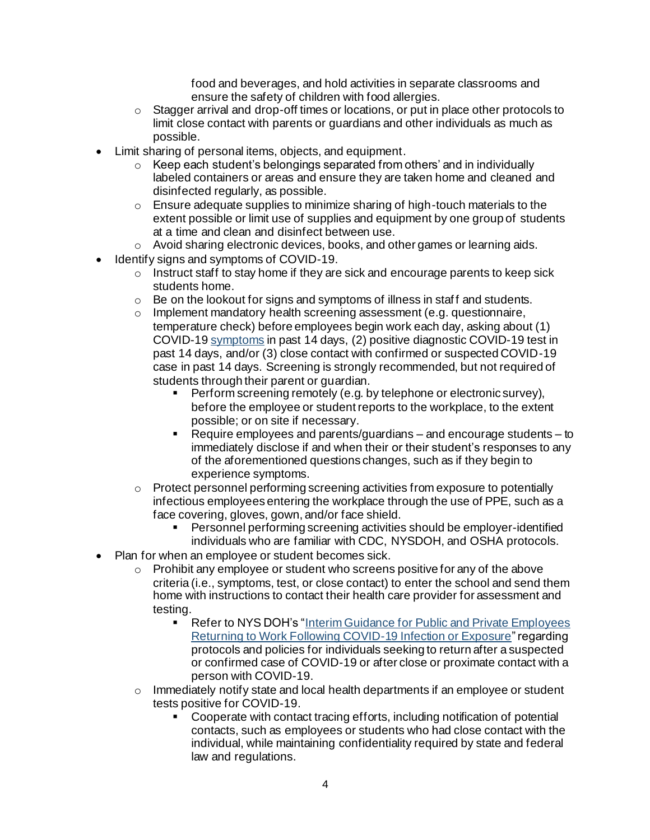food and beverages, and hold activities in separate classrooms and ensure the safety of children with food allergies.

- o Stagger arrival and drop-off times or locations, or put in place other protocols to limit close contact with parents or guardians and other individuals as much as possible.
- Limit sharing of personal items, objects, and equipment.
	- $\circ$  Keep each student's belongings separated from others' and in individually labeled containers or areas and ensure they are taken home and cleaned and disinfected regularly, as possible.
	- $\circ$  Ensure adequate supplies to minimize sharing of high-touch materials to the extent possible or limit use of supplies and equipment by one group of students at a time and clean and disinfect between use.
- o Avoid sharing electronic devices, books, and other games or learning aids.
- Identify signs and symptoms of COVID-19.
	- $\circ$  Instruct staff to stay home if they are sick and encourage parents to keep sick students home.
	- $\circ$  Be on the lookout for signs and symptoms of illness in staff and students.
	- o Implement mandatory health screening assessment (e.g. questionnaire, temperature check) before employees begin work each day, asking about (1) COVID-1[9 symptoms](https://www.cdc.gov/coronavirus/2019-ncov/symptoms-testing/symptoms.html) in past 14 days, (2) positive diagnostic COVID-19 test in past 14 days, and/or (3) close contact with confirmed or suspected COVID-19 case in past 14 days. Screening is strongly recommended, but not required of students through their parent or guardian.
		- **•** Perform screening remotely (e.g. by telephone or electronic survey), before the employee or student reports to the workplace, to the extent possible; or on site if necessary.
		- Require employees and parents/guardians and encourage students to immediately disclose if and when their or their student's responses to any of the aforementioned questions changes, such as if they begin to experience symptoms.
	- o Protect personnel performing screening activities from exposure to potentially infectious employees entering the workplace through the use of PPE, such as a face covering, gloves, gown, and/or face shield.
		- Personnel performing screening activities should be employer-identified individuals who are familiar with CDC, NYSDOH, and OSHA protocols.
- Plan for when an employee or student becomes sick.
	- $\circ$  Prohibit any employee or student who screens positive for any of the above criteria (i.e., symptoms, test, or close contact) to enter the school and send them home with instructions to contact their health care provider for assessment and testing.
		- Refer to NYS DOH's "Interim Guidance for Public and Private Employees [Returning to Work Following COVID-19 Infection or Exposure](https://coronavirus.health.ny.gov/system/files/documents/2020/06/doh_covid19_publicprivateemployeereturntowork_053120.pdf)" regarding protocols and policies for individuals seeking to return after a suspected or confirmed case of COVID-19 or after close or proximate contact with a person with COVID-19.
	- o Immediately notify state and local health departments if an employee or student tests positive for COVID-19.
		- Cooperate with contact tracing efforts, including notification of potential contacts, such as employees or students who had close contact with the individual, while maintaining confidentiality required by state and federal law and regulations.